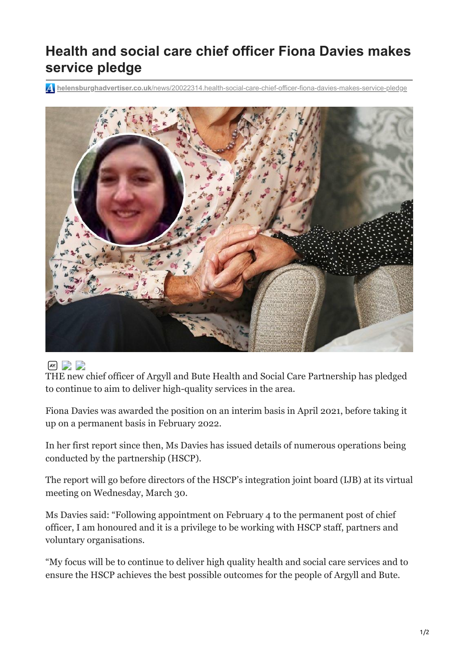## **Health and social care chief officer Fiona Davies makes service pledge**

**helensburghadvertiser.co.uk**[/news/20022314.health-social-care-chief-officer-fiona-davies-makes-service-pledge](https://www.helensburghadvertiser.co.uk/news/20022314.health-social-care-chief-officer-fiona-davies-makes-service-pledge/)



## $AX$

THE new chief officer of Argyll and Bute Health and Social Care Partnership has pledged to continue to aim to deliver high-quality services in the area.

Fiona Davies was awarded the position on an interim basis in April 2021, before taking it up on a permanent basis in February 2022.

In her first report since then, Ms Davies has issued details of numerous operations being conducted by the partnership (HSCP).

The report will go before directors of the HSCP's integration joint board (IJB) at its virtual meeting on Wednesday, March 30.

Ms Davies said: "Following appointment on February 4 to the permanent post of chief officer, I am honoured and it is a privilege to be working with HSCP staff, partners and voluntary organisations.

"My focus will be to continue to deliver high quality health and social care services and to ensure the HSCP achieves the best possible outcomes for the people of Argyll and Bute.